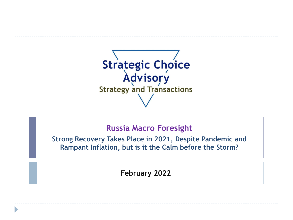

## **Russia Macro Foresight**

**Strong Recovery Takes Place in 2021, Despite Pandemic and Rampant Inflation, but is it the Calm before the Storm?**

**February 2022**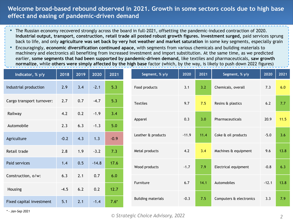### **Welcome broad-based rebound observed in 2021. Growth in some sectors cools due to high base effect and easing of pandemic-driven demand**

- The Russian economy recovered strongly across the board in full-2021, offsetting the pandemic-induced contraction of 2020. **Industrial output, transport, construction, retail trade all posted robust growth figures. Investment surged,** paid services sprung back to life, and only **agriculture was set back by very hot weather and market saturation** in some key segments, especially grain
- Encouragingly, **economic diversification continued apace,** with segments from various chemicals and building materials to machinery and electronics all benefiting from increased investment and import substitution. At the same time, as we predicted earlier, **some segments that had been supported by pandemic-driven demand,** like textiles and pharmaceuticals, **saw growth normalize**, while **others were simply affected by the high base** factor (which, by the way, is likely to push down 2022 figures)

| Indicator, % y/y          | 2018   | 2019 | 2020    | 2021   |
|---------------------------|--------|------|---------|--------|
| Industrial production     | 2.9    | 3.4  | $-2.1$  | 5.3    |
| Cargo transport turnover: | 2.7    | 0.7  | $-4.7$  | 5.3    |
| Railway                   | 4.2    | 0.2  | $-1.9$  | 3.4    |
| Automobile                | 2.3    | 6.3  | $-1.3$  | 5.0    |
| Agriculture               | $-0.2$ | 4.3  | 1.3     | $-0.9$ |
| Retail trade              | 2.8    | 1.9  | $-3.2$  | 7.3    |
| Paid services             | 1.4    | 0.5  | $-14.8$ | 17.6   |
| Construction, o/w:        | 6.3    | 2.1  | 0.7     | 6.0    |
| Housing                   | $-4.5$ | 6.2  | 0.2     | 12.7   |
| Fixed capital investment  | 5.1    | 2.1  | $-1.4$  | $7.6*$ |

*\* - Jan-Sep 2021*

| Segment, % y/y            | 2020    | 2021 | Segment, % y/y          | 2020    | 2021 |
|---------------------------|---------|------|-------------------------|---------|------|
| Food products             | 3.1     | 3.2  | Chemicals, overall      | 7.3     | 6.0  |
| <b>Textiles</b>           | 9.7     | 7.5  | Resins & plastics       | 6.2     | 7.7  |
| Apparel                   | 0.3     | 3.0  | Pharmaceuticals         | 20.9    | 11.5 |
| Leather & products        | $-11.9$ | 11.4 | Coke & oil products     | $-5.0$  | 3.6  |
| Metal products            | 4.2     | 3.4  | Machines & equipment    | 9.6     | 13.8 |
| Wood products             | $-1.7$  | 7.9  | Electrical equipment    | $-0.8$  | 6.3  |
| Furniture                 | 6.7     | 14.1 | Automobiles             | $-12.1$ | 13.8 |
| <b>Building materials</b> | $-0.3$  | 7.5  | Computers & electronics | 3.3     | 7.9  |

#### *© Strategic Choice Advisory, 2022 2*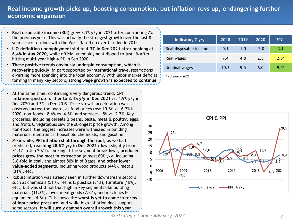## **Real income growth picks up, boosting consumption, but inflation revs up, endangering further economic expansion**

- **Real disposable income** (RDI) grew 3.1% y/y in 2021 after contracting 2% the previous year. This was actually the strongest growth over the last 8 years since tensions with the West flared up over Ukraine in 2014
- **ILO-definition unemployment slid to 4.3% in Dec 2021 after peaking at 6.4% in Aug 2020**, while official unemployment dipped to just 1% after hitting multi-year high 4.9% in Sep 2020
- **These positive trends obviously underpin consumption, which is recovering quickly,** in part supported by international travel restrictions diverting more spending into the local economy. With labor market deficits forming in many key sectors, **strong wage growth is expected to continue**
- At the same time, continuing a very dangerous trend, **CPI inflation sped up further to 8.4% y/y in Dec 2021** vs. 4.9% y/y in Dec 2020 and 3% in Dec 2019. Price growth acceleration was observed across the board, as food prices rose 10.6% vs. 6.7% in 2020, non-foods – 8.6% vs. 4.8%, and services – 5% vs. 2.7%. Key groceries, including cereals & beans, pasta, meat & poultry, eggs, and fruits & vegetables saw the strongest price growth. Among non-foods, the biggest increases were witnessed in building materials, electronics, household chemicals, and gasoline
- Meanwhile, **PPI inflation shot through the roof,** as we had predicted, **reaching 28.5% y/y in Dec 2021** (down slightly from 31.1% in Jun 2021**).** Looking at the segment breakdown, **producer prices grew the most in extraction** (almost 60% y/y, including 3.6-fold in coal, and almost 80% in oil&gas), **and other lower value-added segments,** including wood products (44%), metals (31%), etc.
- Robust inflation was already seen in further downstream sectors such as chemicals (51%), resins & plastics (31%), furniture (18%), etc., but was still not that high in key segments like building materials (11.3%), investment goods (7.8%), and machines & equipment (4.6%). This shows **the worst is yet to come in terms of input price pressure**, and while high inflation does support some sectors, **it will surely dampen overall growth this year**

| Indicator, % y/y       | 2018 | 2019 | 2020   | 2021   |
|------------------------|------|------|--------|--------|
| Real disposable income | 0.1  | 1.0  | $-2.0$ | 3.1    |
| Real wages             | 7.4  | 4.8  | 2.5    | $2.8*$ |
| Nominal wages          | 10.3 | 9.5  | 6.0    | $9.5*$ |
| - Jan-Nov 2021         |      |      |        |        |

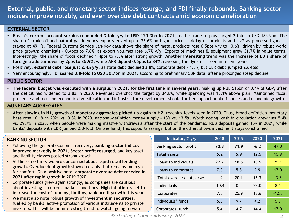## **External, public, and monetary sector indices resurge, and FDI finally rebounds. Banking sector indices improve notably, and even overdue debt contracts amid economic amelioration**

#### **EXTERNAL SECTOR**

- Russia's **current account surplus rebounded 3-fold y/y to USD 120.3bn in 2021,** as the trade surplus surged 2-fold to USD 185.9bn. The share of crude oil and natural gas in goods exports edged up to 33.6% on higher prices; adding oil products and LNG as processed goods – stayed at 49.1%. Federal Customs Service Jan-Nov data shows the share of metal products rose 0.5pps y/y to 10.6%, driven by robust world price growth; chemicals - 0.4pps to 7.6%, as export volumes rose 6.7% y/y. Exports of machines & equipment grew 31.7% in value terms. Interestingly, the share of foods declined 1.4pps to 7.3% after strong growth. **Another interesting trend was the increase of EU's share of foreign trade turnover by 2pps to 35.9%, while APR dipped 0.5pps to 34%,** reversing the dynamics seen in recent years
- Positively, **external debt rose just 2.4% y/y,** as state debt declined 3.8%, corporate debt 4.8%, but CBR debt jumped 2.6-fold
- Very encouragingly, **FDI soared 3.8-fold to USD 30.7bn in 2021,** according to preliminary CBR data, after a prolonged steep decline

#### **PUBLIC SECTOR**

• The federal budget was executed with a surplus in 2021, for the first time in several years, making up RUB 515bn or 0.4% of GDP, after the deficit had widened to 3.8% in 2020. Revenues overshot the target by 34.8%, while spending was 15.1% above plan. Maintained fiscal prudence and focus on economic diversification and infrastructure development should further support public finances and economic growth

#### **MONETARY AGGREGATES**

• After slowing in H1, growth of monetary aggregates picked up again in H2, reaching levels seen in 2020. Thus, broad-definition monetary base rose 10.1% in 2021 vs. 9.8% in 2020, national-definition money supply – 13% vs. 13.5%. Worth noting, cash in circulation grew just 5.4% vs. 29.7% in 2020, when people were making massive withdrawals after the start of the pandemic. RUB deposits gained 15% in 2021, while banks' deposits with CBR jumped 2.3-fold. On one hand, this supports savings, but on the other, shows investment stays constrained

#### **BANKING SECTOR**

- Following the general economic recovery, **banking sector indices improved markedly in 2021. Sector profit resurged**, and key asset and liability classes posted strong growth
- At the same time, **we are concerned about rapid retail lending growth.** Overdue debt growth slowed notably, but remains too high for comfort. On a positive note, **corporate overdue debt receded in 2021 after rapid growth** in 2019-2020
- Corporate funds grew again strongly, as companies are cautious about investing in current market conditions. **High inflation is set to increase the cost of funding, limiting bank profit growth this year**
- **We must also note robust growth of investment in securities**, fuelled by banks' active promotion of various instruments to private investors. This will be an interesting trend to watch, going forward

| Indicator, % y/y             | 2018    | 2019 | 2020   | 2021    |
|------------------------------|---------|------|--------|---------|
| <b>Banking sector profit</b> | 70.3    | 71.9 | $-6.2$ | 47.0    |
| <b>Total assets</b>          | 6.2     | 5.9  | 12.5   | 15.9    |
| Loans to individuals         | 22.7    | 18.6 | 13.5   | 25.1    |
| Loans to corporates          | 7.3     | 5.8  | 9.9    | 17.0    |
| Total overdue debt, o/w:     | 1.9     | 20.1 | 16.3   | $-3.8$  |
| Individuals                  | $-10.4$ | 0.5  | 22.0   | 8.1     |
| Corporates                   | 7.8     | 25.9 | 13.6   | $-12.8$ |
| Individuals' funds           | 6.3     | 9.7  | 4.2    | 5.7     |
| Corporates' funds            | 5.4     | 4.7  | 14.4   | 17.0    |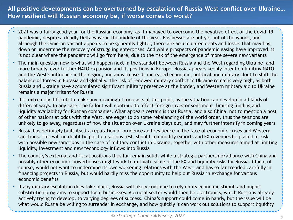**All positive developments can be overturned by escalation of Russia-West conflict over Ukraine… How resilient will Russian economy be, if worse comes to worst?**

- 2021 was a fairly good year for the Russian economy, as it managed to overcome the negative effect of the Covid-19 pandemic, despite a deadly Delta wave in the middle of the year. Businesses are not yet out of the woods, and although the Omicron variant appears to be generally lighter, there are accumulated debts and losses that may bog down or undermine the recovery of struggling enterprises. And while prospects of pandemic easing have improved, it is not clear where the pandemic will go from here, due to the risk of the emergence of more severe new variants
- The main question now is what will happen next in the standoff between Russia and the West regarding Ukraine, and more broadly, over further NATO expansion and its positions in Europe. Russia appears keenly intent on limiting NATO and the West's influence in the region, and aims to use its increased economic, political and military clout to shift the balance of forces in Eurasia and globally. The risk of renewed military conflict in Ukraine remains very high, as both Russia and Ukraine have accumulated significant military presence at the border, and Western military aid to Ukraine remains a major irritant for Russia
- It is extremely difficult to make any meaningful forecasts at this point, as the situation can develop in all kinds of different ways. In any case, the fallout will continue to affect foreign investor sentiment, limiting funding and liquidity availability for Russian companies. What appears certain is that Russia, and also China, not to mention a host of other nations at odds with the West, are eager to do some rebalancing of the world order, thus the tensions are unlikely to go away, regardless of how the situation over Ukraine plays out, and may further intensify in coming years
- Russia has definitely built itself a reputation of prudence and resilience in the face of economic crises and Western sanctions. This will no doubt be put to a serious test, should commodity exports and FX revenues be placed at risk with possible new sanctions in the case of military conflict in Ukraine, together with other measures aimed at limiting liquidity, investment and new technology inflows into Russia
- The country's external and fiscal positions thus far remain solid, while a strategic partnership/alliance with China and possibly other economic powerhouses might work to mitigate some of the FX and liquidity risks for Russia. China, of course, would not want to undermine its own worsening relations with the West, and has so far treaded carefully in financing projects in Russia, but would hardly miss the opportunity to help out Russia in exchange for various economic benefits
- If any military escalation does take place, Russia will likely continue to rely on its economic stimuli and import substitution programs to support local businesses. A crucial sector would then be electronics, which Russia is already actively trying to develop, to varying degrees of success. China's support could come in handy, but the issue will be what would Russia be willing to surrender in exchange, and how quickly it can work out solutions to support liquidity